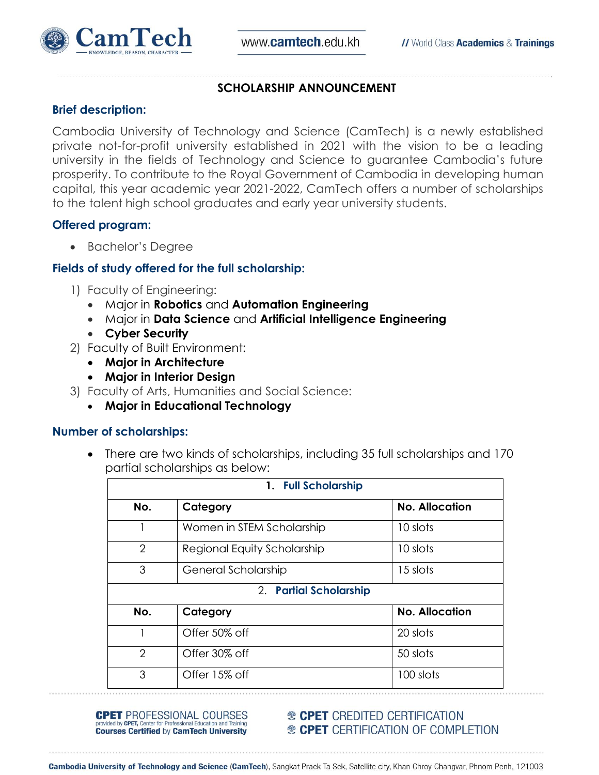

#### **SCHOLARSHIP ANNOUNCEMENT**

#### **Brief description:**

Cambodia University of Technology and Science (CamTech) is a newly established private not-for-profit university established in 2021 with the vision to be a leading university in the fields of Technology and Science to guarantee Cambodia's future prosperity. To contribute to the Royal Government of Cambodia in developing human capital, this year academic year 2021-2022, CamTech offers a number of scholarships to the talent high school graduates and early year university students.

### **Offered program:**

• Bachelor's Degree

### **Fields of study offered for the full scholarship:**

- 1) Faculty of Engineering:
	- Major in **Robotics** and **Automation Engineering**
	- Major in **Data Science** and **Artificial Intelligence Engineering**
	- **Cyber Security**
- 2) Faculty of Built Environment:
	- **Major in Architecture**
	- **Major in Interior Design**
- 3) Faculty of Arts, Humanities and Social Science:
	- **Major in Educational Technology**

#### **Number of scholarships:**

 There are two kinds of scholarships, including 35 full scholarships and 170 partial scholarships as below:

| 1. Full Scholarship    |                             |                       |
|------------------------|-----------------------------|-----------------------|
| No.                    | Category                    | <b>No. Allocation</b> |
|                        | Women in STEM Scholarship   | 10 slots              |
| $\overline{2}$         | Regional Equity Scholarship | 10 slots              |
| 3                      | General Scholarship         | 15 slots              |
| 2. Partial Scholarship |                             |                       |
| No.                    | Category                    | <b>No. Allocation</b> |
|                        | Offer 50% off               | 20 slots              |
| $\overline{2}$         | Offer 30% off               | 50 slots              |
| 3                      | Offer 15% off               | 100 slots             |

**CPET** PROFESSIONAL COURSES ovided by CPET, Center for Pro **Courses Certified by CamTech University** 

**<sup>®</sup> CPET** CREDITED CERTIFICATION **® CPET** CERTIFICATION OF COMPLETION

Cambodia University of Technology and Science (CamTech), Sangkat Praek Ta Sek, Satellite city, Khan Chroy Changvar, Phnom Penh, 121003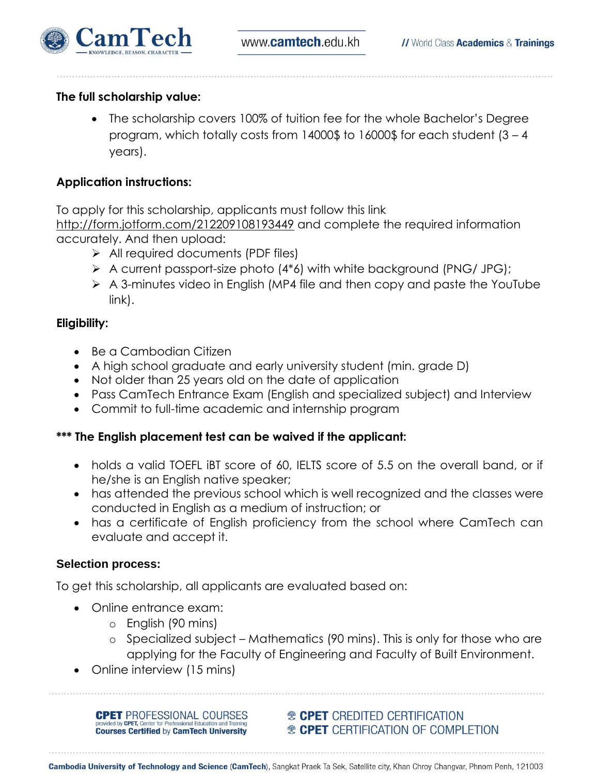



# **The full scholarship value:**

 The scholarship covers 100% of tuition fee for the whole Bachelor's Degree program, which totally costs from 14000\$ to 16000\$ for each student (3 – 4 years).

# **Application instructions:**

To apply for this scholarship, applicants must follow this link <http://form.jotform.com/212209108193449> and complete the required information accurately. And then upload:

- $\triangleright$  All required documents (PDF files)
- $\triangleright$  A current passport-size photo (4\*6) with white background (PNG/ JPG);
- $\triangleright$  A 3-minutes video in English (MP4 file and then copy and paste the YouTube link).

# **Eligibility:**

- Be a Cambodian Citizen
- A high school graduate and early university student (min. grade D)
- Not older than 25 years old on the date of application
- Pass CamTech Entrance Exam (English and specialized subject) and Interview
- Commit to full-time academic and internship program

# **\*\*\* The English placement test can be waived if the applicant:**

- holds a valid TOEFL iBT score of 60, IELTS score of 5.5 on the overall band, or if he/she is an English native speaker;
- has attended the previous school which is well recognized and the classes were conducted in English as a medium of instruction; or
- has a certificate of English proficiency from the school where CamTech can evaluate and accept it.

## **Selection process:**

To get this scholarship, all applicants are evaluated based on:

- Online entrance exam:
	- o English (90 mins)
	- o Specialized subject Mathematics (90 mins). This is only for those who are applying for the Faculty of Engineering and Faculty of Built Environment.
- Online interview (15 mins)

**CPET** PROFESSIONAL COURSES **Courses Certified by CamTech University** 

**<sup>®</sup> CPET** CREDITED CERTIFICATION <sup>®</sup> CPET CERTIFICATION OF COMPLETION